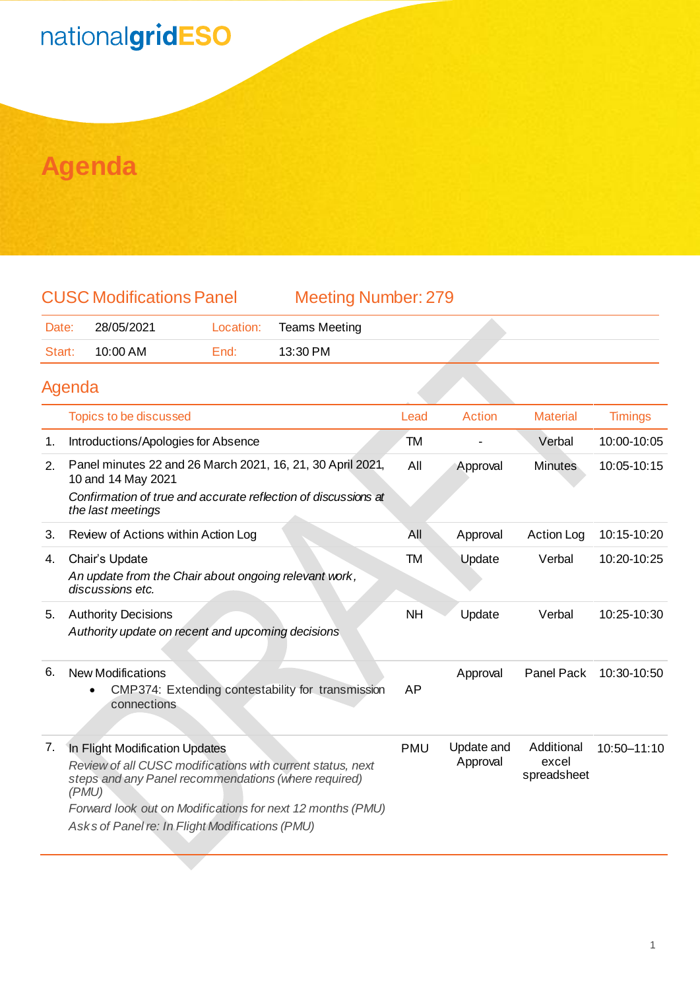### nationalgridESO

### **Agenda**

| <b>CUSC Modifications Panel</b> |  |
|---------------------------------|--|
|                                 |  |

Meeting Number: 279

| Date:  | 28/05/2021 | Location:    | <b>Teams Meeting</b> |  |
|--------|------------|--------------|----------------------|--|
| Start: | 10:00 AM   | <i>∃</i> nd: | 13:30 PM             |  |

#### Agenda

|    | <b>Topics to be discussed</b>                                                                                                                                                                                                                                                  | Lead       | Action                 | <b>Material</b>                    | <b>Timings</b> |
|----|--------------------------------------------------------------------------------------------------------------------------------------------------------------------------------------------------------------------------------------------------------------------------------|------------|------------------------|------------------------------------|----------------|
| 1. | Introductions/Apologies for Absence                                                                                                                                                                                                                                            | TM         |                        | Verbal                             | 10:00-10:05    |
| 2. | Panel minutes 22 and 26 March 2021, 16, 21, 30 April 2021,<br>10 and 14 May 2021<br>Confirmation of true and accurate reflection of discussions at<br>the last meetings                                                                                                        | All        | Approval               | <b>Minutes</b>                     | 10:05-10:15    |
| 3. | Review of Actions within Action Log                                                                                                                                                                                                                                            | All        | Approval               | <b>Action Log</b>                  | 10:15-10:20    |
| 4. | Chair's Update<br>An update from the Chair about ongoing relevant work,<br>discussions etc.                                                                                                                                                                                    | TM         | Update                 | Verbal                             | 10:20-10:25    |
| 5. | <b>Authority Decisions</b><br>Authority update on recent and upcoming decisions                                                                                                                                                                                                | <b>NH</b>  | Update                 | Verbal                             | 10:25-10:30    |
| 6. | <b>New Modifications</b><br>CMP374: Extending contestability for transmission<br>connections                                                                                                                                                                                   | AP         | Approval               | Panel Pack                         | 10:30-10:50    |
| 7. | In Flight Modification Updates<br>Review of all CUSC modifications with current status, next<br>steps and any Panel recommendations (where required)<br>(PMU)<br>Forward look out on Modifications for next 12 months (PMU)<br>Asks of Panel re: In Flight Modifications (PMU) | <b>PMU</b> | Update and<br>Approval | Additional<br>excel<br>spreadsheet | 10:50-11:10    |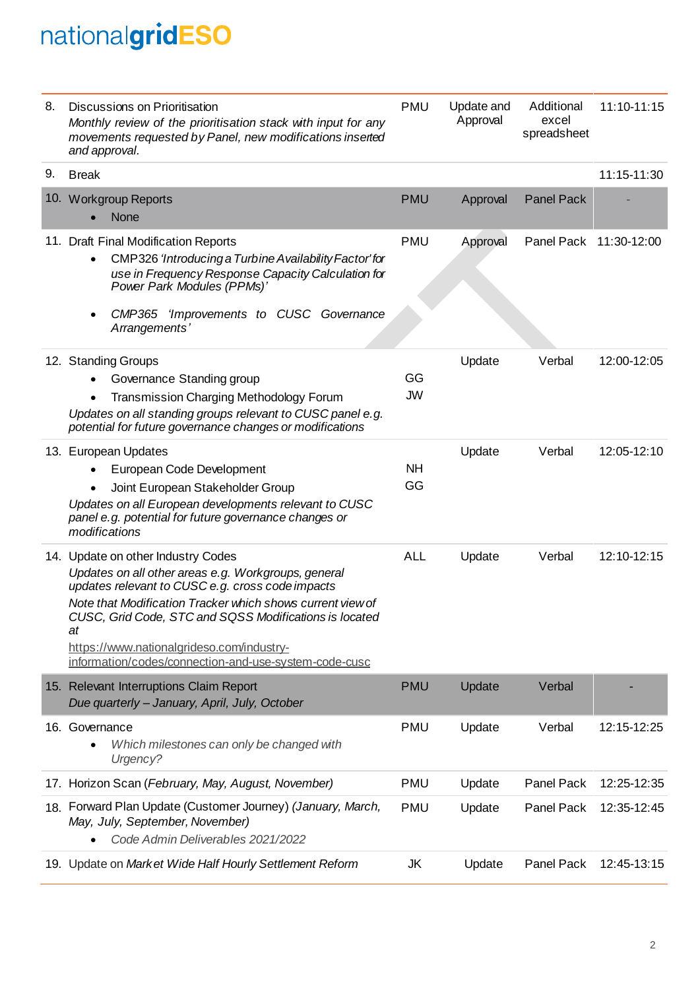# nationalgridESO

| 8. | Discussions on Prioritisation<br>Monthly review of the prioritisation stack with input for any<br>movements requested by Panel, new modifications inserted<br>and approval.                                                                                                                                                                                                       | <b>PMU</b>      | Update and<br>Approval | Additional<br>excel<br>spreadsheet | 11:10-11:15 |
|----|-----------------------------------------------------------------------------------------------------------------------------------------------------------------------------------------------------------------------------------------------------------------------------------------------------------------------------------------------------------------------------------|-----------------|------------------------|------------------------------------|-------------|
| 9. | <b>Break</b>                                                                                                                                                                                                                                                                                                                                                                      |                 |                        |                                    | 11:15-11:30 |
|    | 10. Workgroup Reports<br><b>None</b>                                                                                                                                                                                                                                                                                                                                              | <b>PMU</b>      | Approval               | <b>Panel Pack</b>                  |             |
|    | 11. Draft Final Modification Reports<br>CMP326 'Introducing a Turbine Availability Factor' for<br>use in Frequency Response Capacity Calculation for<br>Power Park Modules (PPMs)'<br>CMP365 'Improvements to CUSC Governance<br>Arrangements'                                                                                                                                    | <b>PMU</b>      | Approval               | Panel Pack                         | 11:30-12:00 |
|    | 12. Standing Groups<br>Governance Standing group<br>Transmission Charging Methodology Forum<br>Updates on all standing groups relevant to CUSC panel e.g.<br>potential for future governance changes or modifications                                                                                                                                                             | GG<br><b>JW</b> | Update                 | Verbal                             | 12:00-12:05 |
|    | 13. European Updates<br>European Code Development<br>Joint European Stakeholder Group<br>٠<br>Updates on all European developments relevant to CUSC<br>panel e.g. potential for future governance changes or<br>modifications                                                                                                                                                     | <b>NH</b><br>GG | Update                 | Verbal                             | 12:05-12:10 |
|    | 14. Update on other Industry Codes<br>Updates on all other areas e.g. Workgroups, general<br>updates relevant to CUSC e.g. cross code impacts<br>Note that Modification Tracker which shows current view of<br>CUSC, Grid Code, STC and SQSS Modifications is located<br>at<br>https://www.nationalgrideso.com/industry-<br>information/codes/connection-and-use-system-code-cusc | <b>ALL</b>      | Update                 | Verbal                             | 12:10-12:15 |
|    | 15. Relevant Interruptions Claim Report<br>Due quarterly - January, April, July, October                                                                                                                                                                                                                                                                                          | <b>PMU</b>      | Update                 | Verbal                             |             |
|    | 16. Governance<br>Which milestones can only be changed with<br>Urgency?                                                                                                                                                                                                                                                                                                           | <b>PMU</b>      | Update                 | Verbal                             | 12:15-12:25 |
|    | 17. Horizon Scan (February, May, August, November)                                                                                                                                                                                                                                                                                                                                | <b>PMU</b>      | Update                 | Panel Pack                         | 12:25-12:35 |
|    | 18. Forward Plan Update (Customer Journey) (January, March,<br>May, July, September, November)<br>Code Admin Deliverables 2021/2022                                                                                                                                                                                                                                               | <b>PMU</b>      | Update                 | Panel Pack                         | 12:35-12:45 |
|    | 19. Update on Market Wide Half Hourly Settlement Reform                                                                                                                                                                                                                                                                                                                           | JK              | Update                 | Panel Pack                         | 12:45-13:15 |